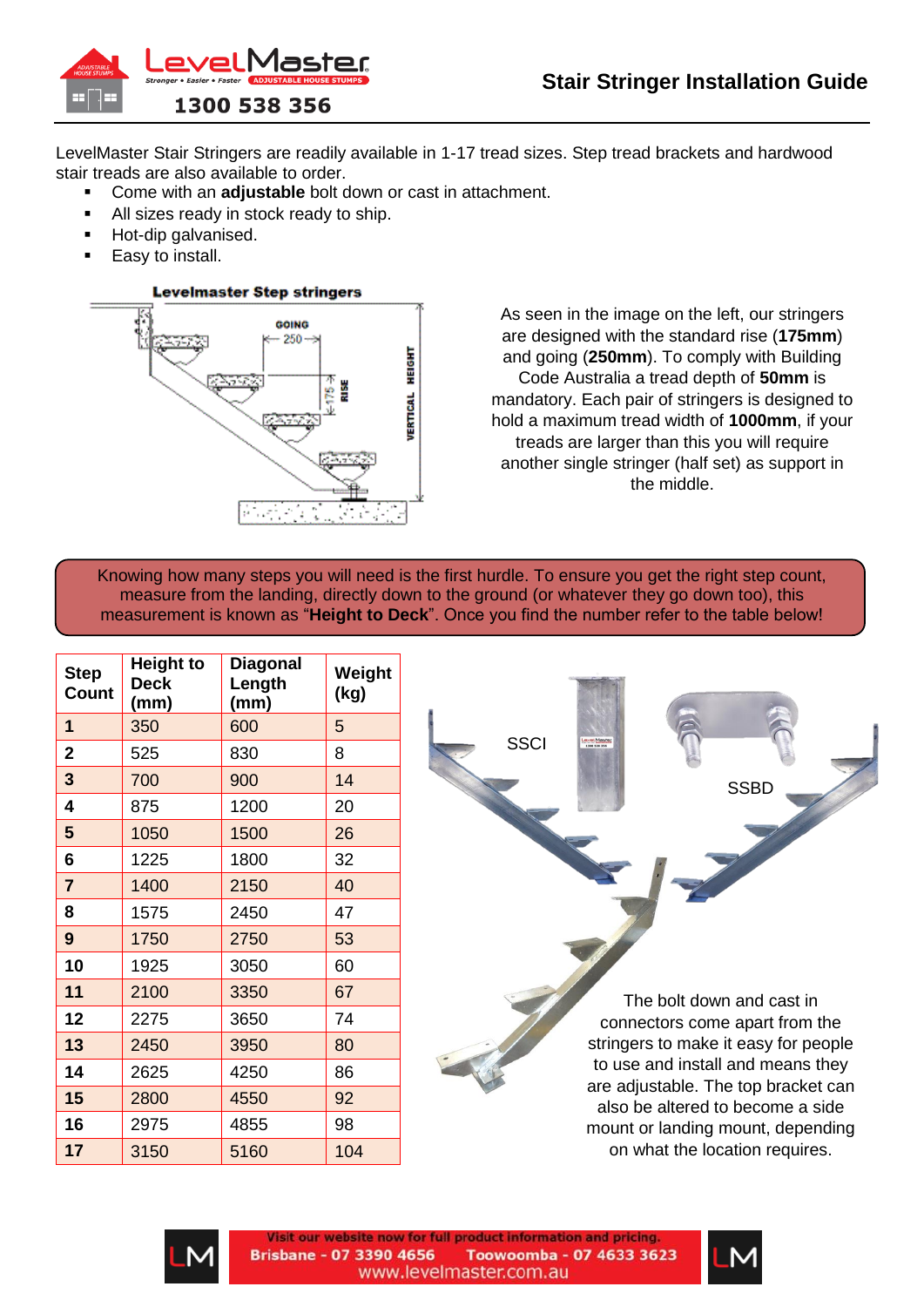



LevelMaster Stair Stringers are readily available in 1-17 tread sizes. Step tread brackets and hardwood stair treads are also available to order.

- Come with an **adjustable** bolt down or cast in attachment.
- All sizes ready in stock ready to ship.
- Hot-dip galvanised.
- **Easy to install.**



As seen in the image on the left, our stringers are designed with the standard rise (**175mm**) and going (**250mm**). To comply with Building Code Australia a tread depth of **50mm** is mandatory. Each pair of stringers is designed to hold a maximum tread width of **1000mm**, if your treads are larger than this you will require another single stringer (half set) as support in the middle.

Knowing how many steps you will need is the first hurdle. To ensure you get the right step count, measure from the landing, directly down to the ground (or whatever they go down too), this measurement is known as "**Height to Deck**". Once you find the number refer to the table below!

| <b>Step</b><br>Count | <b>Height to</b><br><b>Deck</b><br>(mm) | <b>Diagonal</b><br>Length<br>(mm) | Weight<br>(kg) |
|----------------------|-----------------------------------------|-----------------------------------|----------------|
| 1                    | 350                                     | 600                               | 5              |
| $\overline{2}$       | 525                                     | 830                               | 8              |
| 3                    | 700                                     | 900                               | 14             |
| 4                    | 875                                     | 1200                              | 20             |
| 5                    | 1050                                    | 1500                              | 26             |
| 6                    | 1225                                    | 1800                              | 32             |
| $\overline{7}$       | 1400                                    | 2150                              | 40             |
| 8                    | 1575                                    | 2450                              | 47             |
| 9                    | 1750                                    | 2750                              | 53             |
| 10                   | 1925                                    | 3050                              | 60             |
| 11                   | 2100                                    | 3350                              | 67             |
| 12                   | 2275                                    | 3650                              | 74             |
| 13                   | 2450                                    | 3950                              | 80             |
| 14                   | 2625                                    | 4250                              | 86             |
| 15                   | 2800                                    | 4550                              | 92             |
| 16                   | 2975                                    | 4855                              | 98             |
| 17                   | 3150                                    | 5160                              | 104            |

**SSCI** 



The bolt down and cast in connectors come apart from the stringers to make it easy for people to use and install and means they are adjustable. The top bracket can also be altered to become a side mount or landing mount, depending on what the location requires.